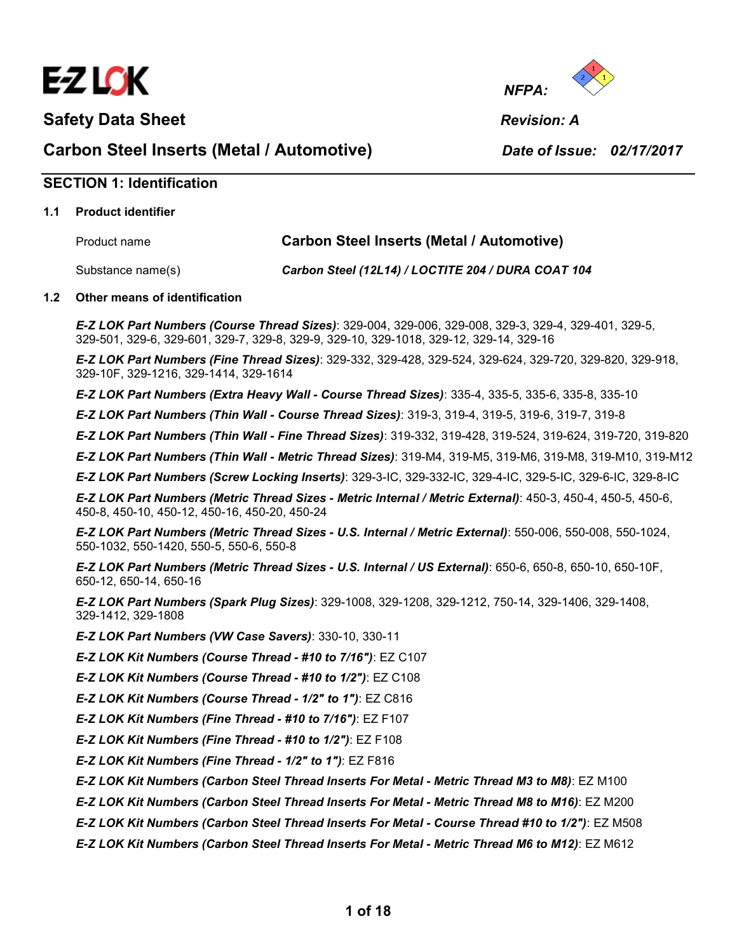

Safety Data Sheet **Revision: A Revision: A** 



Carbon Steel Inserts (Metal / Automotive) Date of Issue: 02/17/2017

# SECTION 1: Identification

#### 1.1 Product identifier

| Product name      | <b>Carbon Steel Inserts (Metal / Automotive)</b>   |
|-------------------|----------------------------------------------------|
| Substance name(s) | Carbon Steel (12L14) / LOCTITE 204 / DURA COAT 104 |

#### 1.2 Other means of identification

E-Z LOK Part Numbers (Course Thread Sizes): 329-004, 329-006, 329-008, 329-3, 329-4, 329-401, 329-5, 329-501, 329-6, 329-601, 329-7, 329-8, 329-9, 329-10, 329-1018, 329-12, 329-14, 329-16

E-Z LOK Part Numbers (Fine Thread Sizes): 329-332, 329-428, 329-524, 329-624, 329-720, 329-820, 329-918, 329-10F, 329-1216, 329-1414, 329-1614

E-Z LOK Part Numbers (Extra Heavy Wall - Course Thread Sizes): 335-4, 335-5, 335-6, 335-8, 335-10

E-Z LOK Part Numbers (Thin Wall - Course Thread Sizes): 319-3, 319-4, 319-5, 319-6, 319-7, 319-8

E-Z LOK Part Numbers (Thin Wall - Fine Thread Sizes): 319-332, 319-428, 319-524, 319-624, 319-720, 319-820

E-Z LOK Part Numbers (Thin Wall - Metric Thread Sizes): 319-M4, 319-M5, 319-M6, 319-M8, 319-M10, 319-M12

E-Z LOK Part Numbers (Screw Locking Inserts): 329-3-IC, 329-332-IC, 329-4-IC, 329-5-IC, 329-6-IC, 329-8-IC

E-Z LOK Part Numbers (Metric Thread Sizes - Metric Internal / Metric External): 450-3, 450-4, 450-5, 450-6, 450-8, 450-10, 450-12, 450-16, 450-20, 450-24

E-Z LOK Part Numbers (Metric Thread Sizes - U.S. Internal / Metric External): 550-006, 550-008, 550-1024, 550-1032, 550-1420, 550-5, 550-6, 550-8

E-Z LOK Part Numbers (Metric Thread Sizes - U.S. Internal / US External): 650-6, 650-8, 650-10, 650-10F, 650-12, 650-14, 650-16

E-Z LOK Part Numbers (Spark Plug Sizes): 329-1008, 329-1208, 329-1212, 750-14, 329-1406, 329-1408, 329-1412, 329-1808

E-Z LOK Part Numbers (VW Case Savers): 330-10, 330-11

E-Z LOK Kit Numbers (Course Thread - #10 to 7/16"): EZ C107

E-Z LOK Kit Numbers (Course Thread - #10 to 1/2"): EZ C108

E-Z LOK Kit Numbers (Course Thread - 1/2" to 1"): EZ C816

E-Z LOK Kit Numbers (Fine Thread - #10 to 7/16"): EZ F107

E-Z LOK Kit Numbers (Fine Thread - #10 to 1/2"): EZ F108

E-Z LOK Kit Numbers (Fine Thread - 1/2" to 1"): EZ F816

E-Z LOK Kit Numbers (Carbon Steel Thread Inserts For Metal - Metric Thread M3 to M8): EZ M100

E-Z LOK Kit Numbers (Carbon Steel Thread Inserts For Metal - Metric Thread M8 to M16): EZ M200

E-Z LOK Kit Numbers (Carbon Steel Thread Inserts For Metal - Course Thread #10 to 1/2"): EZ M508

E-Z LOK Kit Numbers (Carbon Steel Thread Inserts For Metal - Metric Thread M6 to M12): EZ M612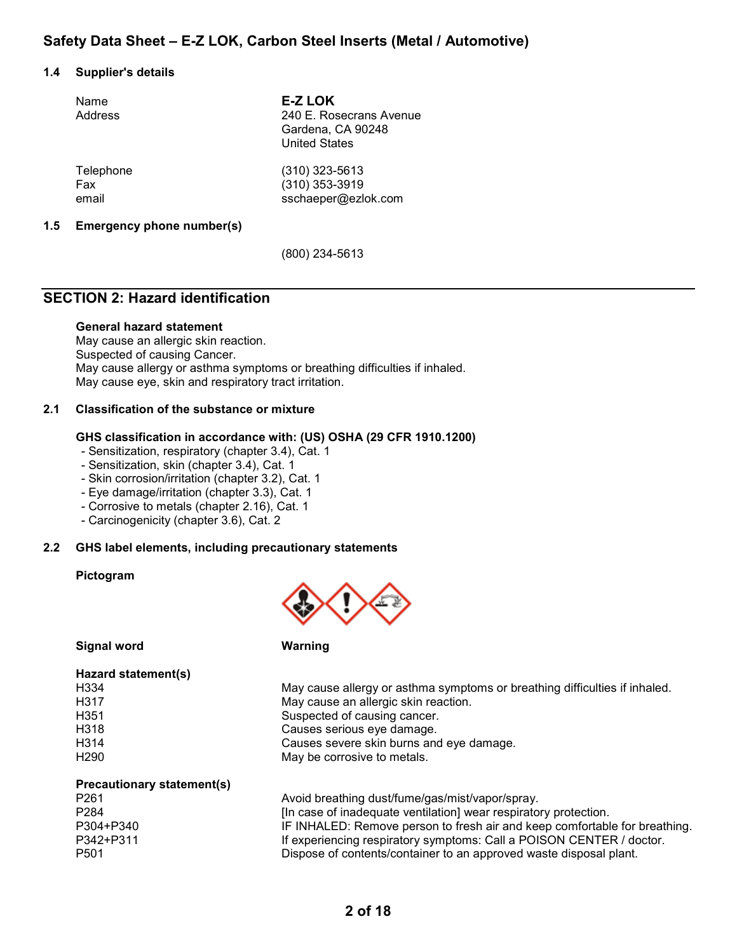#### 1.4 Supplier's details

| Name<br>Address | <b>E-Z LOK</b><br>240 E. Rosecrans Avenue<br>Gardena, CA 90248<br><b>United States</b> |
|-----------------|----------------------------------------------------------------------------------------|
| Telephone       | $(310)$ 323-5613                                                                       |
| Fax             | (310) 353-3919                                                                         |
| email           | sschaeper@ezlok.com                                                                    |

#### 1.5 Emergency phone number(s)

(800) 234-5613

# SECTION 2: Hazard identification

#### General hazard statement

May cause an allergic skin reaction. Suspected of causing Cancer. May cause allergy or asthma symptoms or breathing difficulties if inhaled. May cause eye, skin and respiratory tract irritation.

#### 2.1 Classification of the substance or mixture

#### GHS classification in accordance with: (US) OSHA (29 CFR 1910.1200)

- Sensitization, respiratory (chapter 3.4), Cat. 1
- Sensitization, skin (chapter 3.4), Cat. 1
- Skin corrosion/irritation (chapter 3.2), Cat. 1
- Eye damage/irritation (chapter 3.3), Cat. 1
- Corrosive to metals (chapter 2.16), Cat. 1
- Carcinogenicity (chapter 3.6), Cat. 2

#### 2.2 GHS label elements, including precautionary statements

#### Pictogram



Signal word

| Warning |  |  |
|---------|--|--|
|         |  |  |

| Hazard statement(s)        |                                                                            |
|----------------------------|----------------------------------------------------------------------------|
| H334                       | May cause allergy or asthma symptoms or breathing difficulties if inhaled. |
| H317                       | May cause an allergic skin reaction.                                       |
| H351                       | Suspected of causing cancer.                                               |
| H318                       | Causes serious eye damage.                                                 |
| H <sub>3</sub> 14          | Causes severe skin burns and eye damage.                                   |
| H <sub>290</sub>           | May be corrosive to metals.                                                |
| Precautionary statement(s) |                                                                            |
| P <sub>261</sub>           | Avoid breathing dust/fume/gas/mist/vapor/spray.                            |
| P <sub>284</sub>           | [In case of inadequate ventilation] wear respiratory protection.           |
| P304+P340                  | IF INHALED: Remove person to fresh air and keep comfortable for breathing. |

P342+P311 **If experiencing respiratory symptoms: Call a POISON CENTER / doctor.** P501 Dispose of contents/container to an approved waste disposal plant.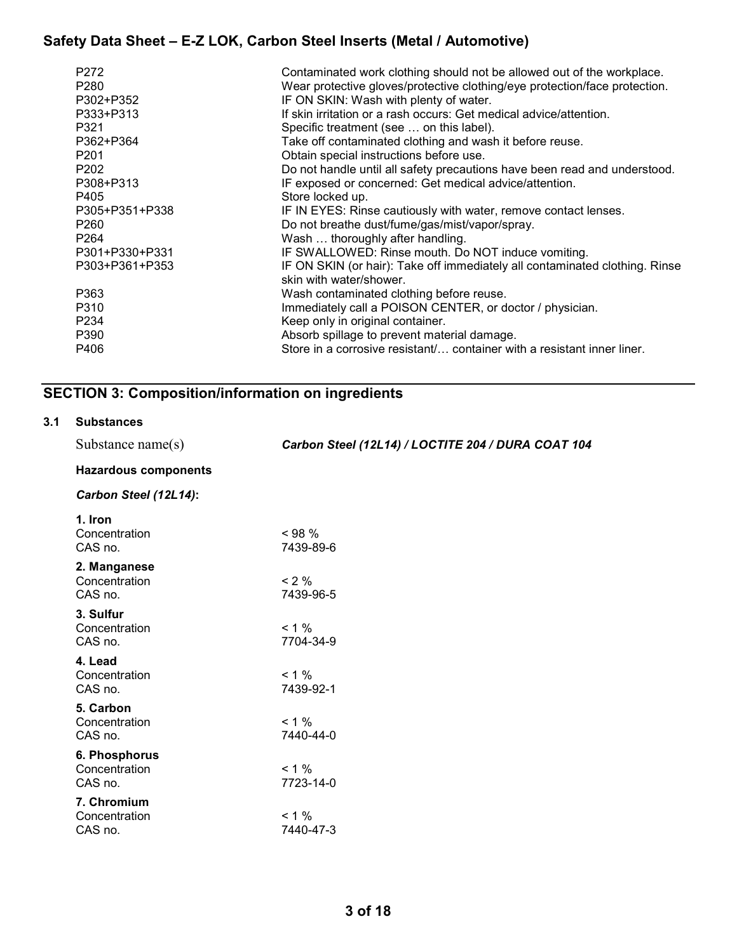| P <sub>272</sub>  | Contaminated work clothing should not be allowed out of the workplace.      |
|-------------------|-----------------------------------------------------------------------------|
| P <sub>280</sub>  | Wear protective gloves/protective clothing/eye protection/face protection.  |
| P302+P352         | IF ON SKIN: Wash with plenty of water.                                      |
| P333+P313         | If skin irritation or a rash occurs: Get medical advice/attention.          |
| P321              |                                                                             |
|                   | Specific treatment (see  on this label).                                    |
| P362+P364         | Take off contaminated clothing and wash it before reuse.                    |
| P <sub>201</sub>  | Obtain special instructions before use.                                     |
| P <sub>202</sub>  | Do not handle until all safety precautions have been read and understood.   |
| P308+P313         | IF exposed or concerned: Get medical advice/attention.                      |
| P405              | Store locked up.                                                            |
| P305+P351+P338    | IF IN EYES: Rinse cautiously with water, remove contact lenses.             |
| P <sub>260</sub>  | Do not breathe dust/fume/gas/mist/vapor/spray.                              |
| P <sub>264</sub>  | Wash  thoroughly after handling.                                            |
| P301+P330+P331    | IF SWALLOWED: Rinse mouth. Do NOT induce vomiting.                          |
| P303+P361+P353    | IF ON SKIN (or hair): Take off immediately all contaminated clothing. Rinse |
|                   | skin with water/shower.                                                     |
| P363              | Wash contaminated clothing before reuse.                                    |
| P310              | Immediately call a POISON CENTER, or doctor / physician.                    |
| P <sub>2</sub> 34 | Keep only in original container.                                            |
| P390              | Absorb spillage to prevent material damage.                                 |
| P406              | Store in a corrosive resistant container with a resistant inner liner.      |
|                   |                                                                             |

# SECTION 3: Composition/information on ingredients

#### 3.1 Substances

| Substance name $(s)$         | Carbon Steel (12L14) / LOCTITE 204 / DURA COAT 104 |
|------------------------------|----------------------------------------------------|
| <b>Hazardous components</b>  |                                                    |
| Carbon Steel (12L14):        |                                                    |
| 1. Iron                      |                                                    |
| Concentration<br>CAS no.     | $< 98\%$<br>7439-89-6                              |
| 2. Manganese                 |                                                    |
| Concentration<br>CAS no.     | $< 2\%$<br>7439-96-5                               |
| 3. Sulfur                    |                                                    |
| Concentration<br>CAS no.     | $< 1 \%$<br>7704-34-9                              |
| 4. Lead                      |                                                    |
| Concentration                | $< 1 \%$                                           |
| CAS no.<br>5. Carbon         | 7439-92-1                                          |
| Concentration                | $< 1 \%$                                           |
| CAS no.                      | 7440-44-0                                          |
| 6. Phosphorus                |                                                    |
| Concentration<br>CAS no.     | $< 1 \%$<br>7723-14-0                              |
|                              |                                                    |
| 7. Chromium<br>Concentration | $< 1 \%$                                           |
| CAS no.                      | 7440-47-3                                          |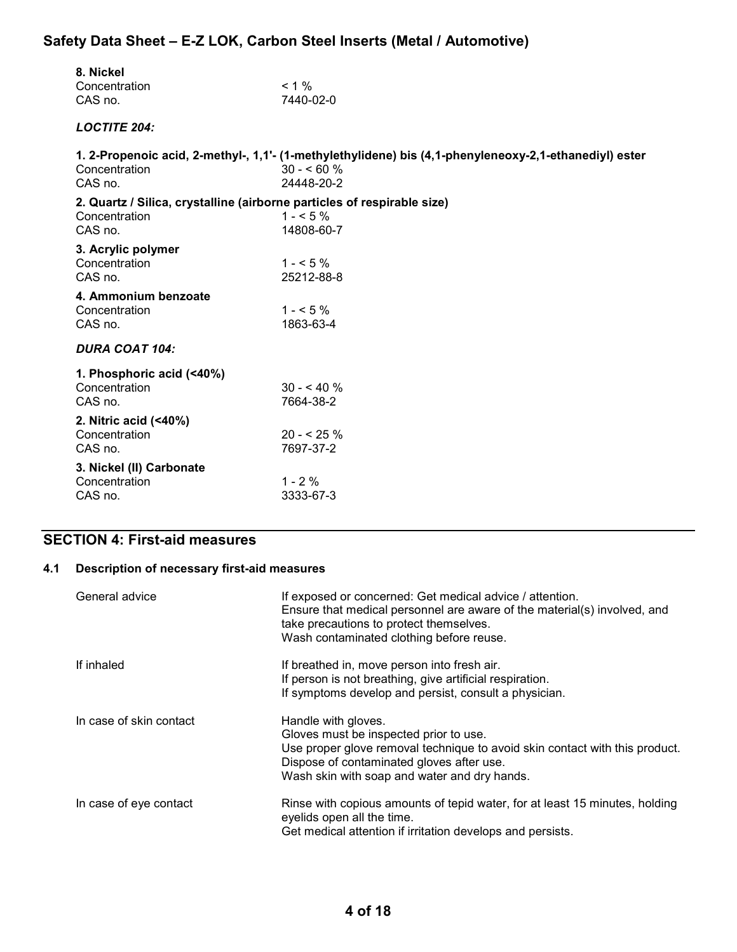| 8. Nickel<br>Concentration<br>CAS no.                                                               | $< 1 \%$<br>7440-02-0                                                                                                                |
|-----------------------------------------------------------------------------------------------------|--------------------------------------------------------------------------------------------------------------------------------------|
| <b>LOCTITE 204:</b>                                                                                 |                                                                                                                                      |
| Concentration<br>CAS no.                                                                            | 1. 2-Propenoic acid, 2-methyl-, 1,1'- (1-methylethylidene) bis (4,1-phenyleneoxy-2,1-ethanediyl) ester<br>$30 - 60 \%$<br>24448-20-2 |
| 2. Quartz / Silica, crystalline (airborne particles of respirable size)<br>Concentration<br>CAS no. | $1 - 5\%$<br>14808-60-7                                                                                                              |
| 3. Acrylic polymer<br>Concentration<br>CAS no.                                                      | $1 - 5\%$<br>25212-88-8                                                                                                              |
| 4. Ammonium benzoate<br>Concentration<br>CAS no.                                                    | $1 - 5\%$<br>1863-63-4                                                                                                               |
| <b>DURA COAT 104:</b>                                                                               |                                                                                                                                      |
| 1. Phosphoric acid (<40%)<br>Concentration<br>CAS no.                                               | $30 - 540%$<br>7664-38-2                                                                                                             |
| 2. Nitric acid (<40%)<br>Concentration<br>CAS no.                                                   | $20 - 5.96$<br>7697-37-2                                                                                                             |
| 3. Nickel (II) Carbonate<br>Concentration<br>CAS no.                                                | $1 - 2%$<br>3333-67-3                                                                                                                |

# SECTION 4: First-aid measures

### 4.1 Description of necessary first-aid measures

| General advice          | If exposed or concerned: Get medical advice / attention.<br>Ensure that medical personnel are aware of the material(s) involved, and<br>take precautions to protect themselves.<br>Wash contaminated clothing before reuse.               |
|-------------------------|-------------------------------------------------------------------------------------------------------------------------------------------------------------------------------------------------------------------------------------------|
| If inhaled              | If breathed in, move person into fresh air.<br>If person is not breathing, give artificial respiration.<br>If symptoms develop and persist, consult a physician.                                                                          |
| In case of skin contact | Handle with gloves.<br>Gloves must be inspected prior to use.<br>Use proper glove removal technique to avoid skin contact with this product.<br>Dispose of contaminated gloves after use.<br>Wash skin with soap and water and dry hands. |
| In case of eye contact  | Rinse with copious amounts of tepid water, for at least 15 minutes, holding<br>eyelids open all the time.<br>Get medical attention if irritation develops and persists.                                                                   |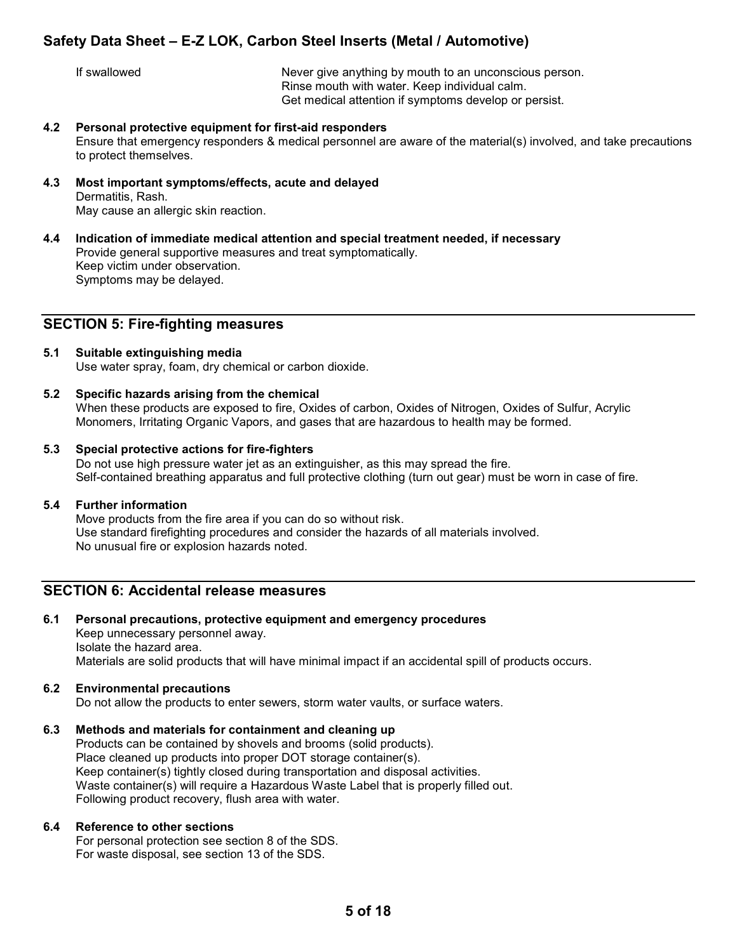If swallowed Never give anything by mouth to an unconscious person. Rinse mouth with water. Keep individual calm. Get medical attention if symptoms develop or persist.

4.2 Personal protective equipment for first-aid responders

Ensure that emergency responders & medical personnel are aware of the material(s) involved, and take precautions to protect themselves.

- 4.3 Most important symptoms/effects, acute and delayed Dermatitis, Rash. May cause an allergic skin reaction.
- 4.4 Indication of immediate medical attention and special treatment needed, if necessary Provide general supportive measures and treat symptomatically. Keep victim under observation. Symptoms may be delayed.

### SECTION 5: Fire-fighting measures

- 5.1 Suitable extinguishing media Use water spray, foam, dry chemical or carbon dioxide.
- 5.2 Specific hazards arising from the chemical

When these products are exposed to fire, Oxides of carbon, Oxides of Nitrogen, Oxides of Sulfur, Acrylic Monomers, Irritating Organic Vapors, and gases that are hazardous to health may be formed.

#### 5.3 Special protective actions for fire-fighters

Do not use high pressure water jet as an extinguisher, as this may spread the fire. Self-contained breathing apparatus and full protective clothing (turn out gear) must be worn in case of fire.

#### 5.4 Further information

Move products from the fire area if you can do so without risk. Use standard firefighting procedures and consider the hazards of all materials involved. No unusual fire or explosion hazards noted.

### SECTION 6: Accidental release measures

6.1 Personal precautions, protective equipment and emergency procedures Keep unnecessary personnel away. Isolate the hazard area. Materials are solid products that will have minimal impact if an accidental spill of products occurs.

#### 6.2 Environmental precautions

Do not allow the products to enter sewers, storm water vaults, or surface waters.

#### 6.3 Methods and materials for containment and cleaning up

Products can be contained by shovels and brooms (solid products). Place cleaned up products into proper DOT storage container(s). Keep container(s) tightly closed during transportation and disposal activities. Waste container(s) will require a Hazardous Waste Label that is properly filled out. Following product recovery, flush area with water.

#### 6.4 Reference to other sections

For personal protection see section 8 of the SDS. For waste disposal, see section 13 of the SDS.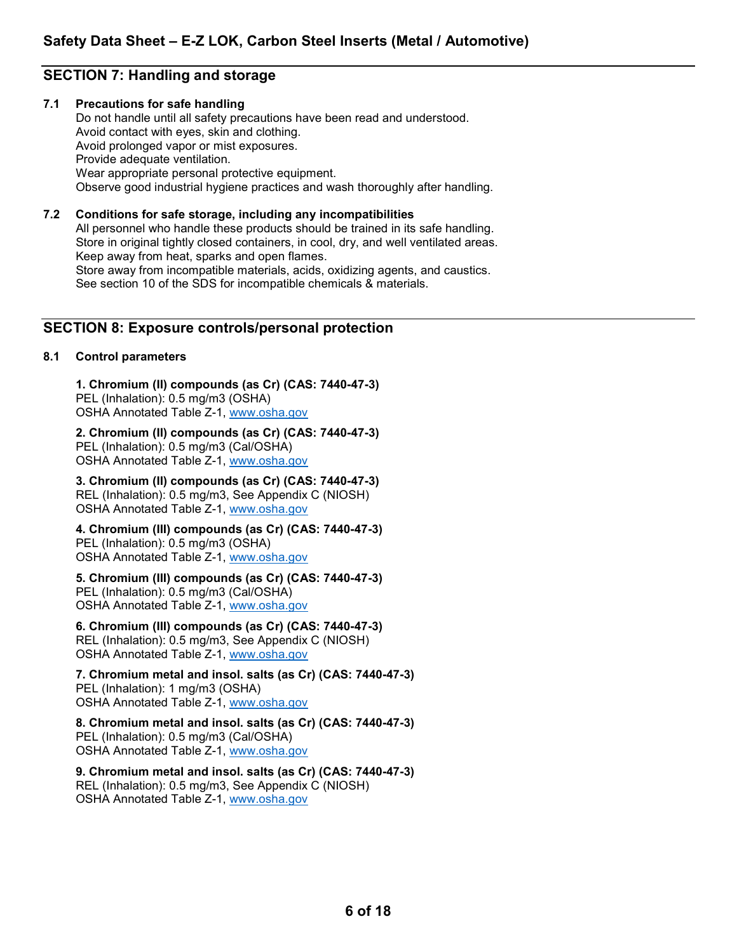# SECTION 7: Handling and storage

#### 7.1 Precautions for safe handling

Do not handle until all safety precautions have been read and understood. Avoid contact with eyes, skin and clothing. Avoid prolonged vapor or mist exposures. Provide adequate ventilation. Wear appropriate personal protective equipment. Observe good industrial hygiene practices and wash thoroughly after handling.

#### 7.2 Conditions for safe storage, including any incompatibilities

All personnel who handle these products should be trained in its safe handling. Store in original tightly closed containers, in cool, dry, and well ventilated areas. Keep away from heat, sparks and open flames. Store away from incompatible materials, acids, oxidizing agents, and caustics. See section 10 of the SDS for incompatible chemicals & materials.

### SECTION 8: Exposure controls/personal protection

#### 8.1 Control parameters

 1. Chromium (II) compounds (as Cr) (CAS: 7440-47-3) PEL (Inhalation): 0.5 mg/m3 (OSHA) OSHA Annotated Table Z-1, www.osha.gov

 2. Chromium (II) compounds (as Cr) (CAS: 7440-47-3) PEL (Inhalation): 0.5 mg/m3 (Cal/OSHA) OSHA Annotated Table Z-1, www.osha.gov

 3. Chromium (II) compounds (as Cr) (CAS: 7440-47-3) REL (Inhalation): 0.5 mg/m3, See Appendix C (NIOSH) OSHA Annotated Table Z-1, www.osha.gov

 4. Chromium (III) compounds (as Cr) (CAS: 7440-47-3) PEL (Inhalation): 0.5 mg/m3 (OSHA) OSHA Annotated Table Z-1, www.osha.gov

### 5. Chromium (III) compounds (as Cr) (CAS: 7440-47-3)

PEL (Inhalation): 0.5 mg/m3 (Cal/OSHA) OSHA Annotated Table Z-1, www.osha.gov

 6. Chromium (III) compounds (as Cr) (CAS: 7440-47-3) REL (Inhalation): 0.5 mg/m3, See Appendix C (NIOSH) OSHA Annotated Table Z-1, www.osha.gov

# 7. Chromium metal and insol. salts (as Cr) (CAS: 7440-47-3) PEL (Inhalation): 1 mg/m3 (OSHA)

OSHA Annotated Table Z-1, www.osha.gov

#### 8. Chromium metal and insol. salts (as Cr) (CAS: 7440-47-3) PEL (Inhalation): 0.5 mg/m3 (Cal/OSHA)

OSHA Annotated Table Z-1, www.osha.gov

 9. Chromium metal and insol. salts (as Cr) (CAS: 7440-47-3) REL (Inhalation): 0.5 mg/m3, See Appendix C (NIOSH) OSHA Annotated Table Z-1, www.osha.gov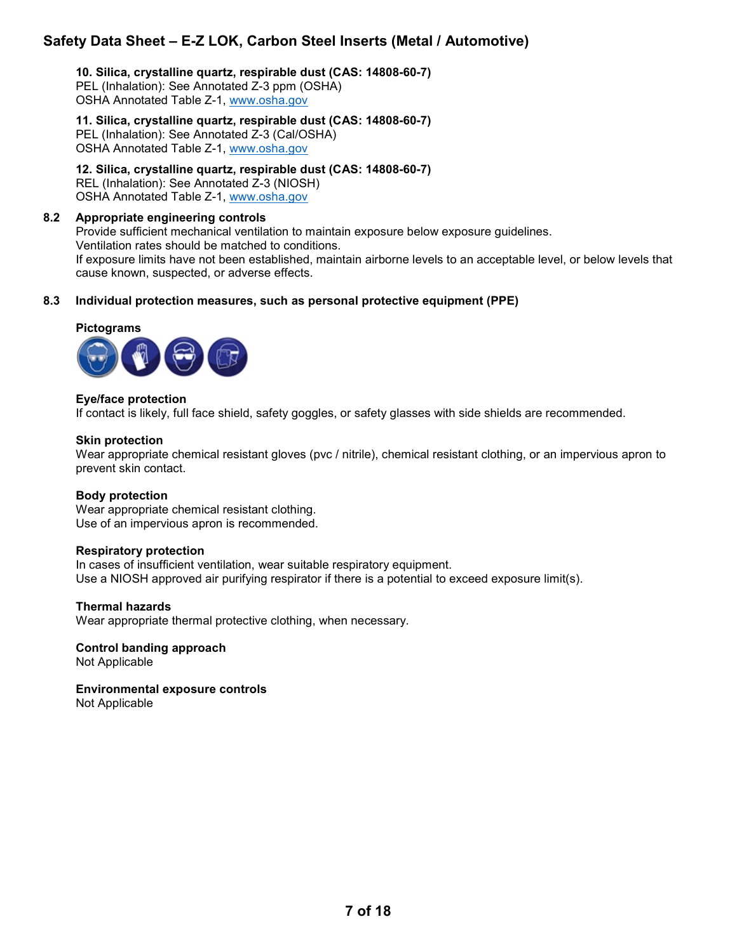10. Silica, crystalline quartz, respirable dust (CAS: 14808-60-7) PEL (Inhalation): See Annotated Z-3 ppm (OSHA) OSHA Annotated Table Z-1, www.osha.gov

11. Silica, crystalline quartz, respirable dust (CAS: 14808-60-7) PEL (Inhalation): See Annotated Z-3 (Cal/OSHA) OSHA Annotated Table Z-1, www.osha.gov

 12. Silica, crystalline quartz, respirable dust (CAS: 14808-60-7) REL (Inhalation): See Annotated Z-3 (NIOSH) OSHA Annotated Table Z-1, www.osha.gov

#### 8.2 Appropriate engineering controls

Provide sufficient mechanical ventilation to maintain exposure below exposure guidelines. Ventilation rates should be matched to conditions. If exposure limits have not been established, maintain airborne levels to an acceptable level, or below levels that cause known, suspected, or adverse effects.

#### 8.3 Individual protection measures, such as personal protective equipment (PPE)

# Pictograms



#### Eye/face protection

If contact is likely, full face shield, safety goggles, or safety glasses with side shields are recommended.

#### Skin protection

Wear appropriate chemical resistant gloves (pvc / nitrile), chemical resistant clothing, or an impervious apron to prevent skin contact.

#### Body protection

Wear appropriate chemical resistant clothing. Use of an impervious apron is recommended.

#### Respiratory protection

In cases of insufficient ventilation, wear suitable respiratory equipment. Use a NIOSH approved air purifying respirator if there is a potential to exceed exposure limit(s).

#### Thermal hazards

Wear appropriate thermal protective clothing, when necessary.

 Control banding approach Not Applicable

 Environmental exposure controls Not Applicable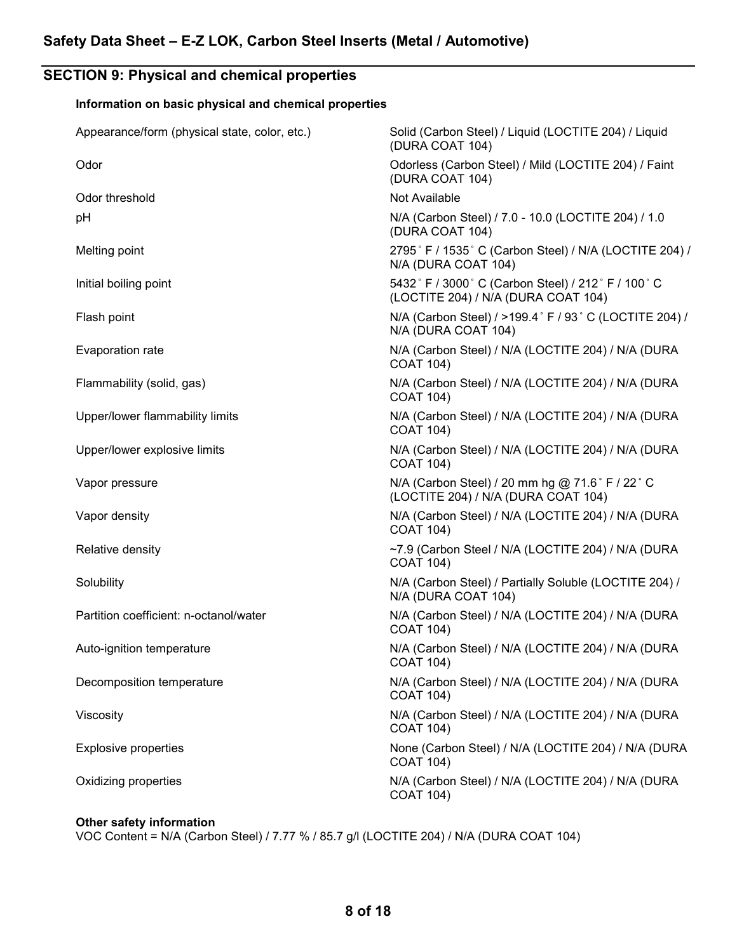# SECTION 9: Physical and chemical properties

# Information on basic physical and chemical properties

| Appearance/form (physical state, color, etc.) | Solid (Carbon Steel) / Liquid (LOCTITE 204) / Liquid<br>(DURA COAT 104)                   |
|-----------------------------------------------|-------------------------------------------------------------------------------------------|
| Odor                                          | Odorless (Carbon Steel) / Mild (LOCTITE 204) / Faint<br>(DURA COAT 104)                   |
| Odor threshold                                | Not Available                                                                             |
| pH                                            | N/A (Carbon Steel) / 7.0 - 10.0 (LOCTITE 204) / 1.0<br>(DURA COAT 104)                    |
| Melting point                                 | 2795° F / 1535° C (Carbon Steel) / N/A (LOCTITE 204) /<br>N/A (DURA COAT 104)             |
| Initial boiling point                         | 5432° F / 3000° C (Carbon Steel) / 212° F / 100° C<br>(LOCTITE 204) / N/A (DURA COAT 104) |
| Flash point                                   | N/A (Carbon Steel) / >199.4° F / 93° C (LOCTITE 204) /<br>N/A (DURA COAT 104)             |
| Evaporation rate                              | N/A (Carbon Steel) / N/A (LOCTITE 204) / N/A (DURA<br><b>COAT 104)</b>                    |
| Flammability (solid, gas)                     | N/A (Carbon Steel) / N/A (LOCTITE 204) / N/A (DURA<br><b>COAT 104)</b>                    |
| Upper/lower flammability limits               | N/A (Carbon Steel) / N/A (LOCTITE 204) / N/A (DURA<br><b>COAT 104)</b>                    |
| Upper/lower explosive limits                  | N/A (Carbon Steel) / N/A (LOCTITE 204) / N/A (DURA<br><b>COAT 104)</b>                    |
| Vapor pressure                                | N/A (Carbon Steel) / 20 mm hg @ 71.6° F / 22° C<br>(LOCTITE 204) / N/A (DURA COAT 104)    |
| Vapor density                                 | N/A (Carbon Steel) / N/A (LOCTITE 204) / N/A (DURA<br><b>COAT 104)</b>                    |
| Relative density                              | ~7.9 (Carbon Steel / N/A (LOCTITE 204) / N/A (DURA<br><b>COAT 104)</b>                    |
| Solubility                                    | N/A (Carbon Steel) / Partially Soluble (LOCTITE 204) /<br>N/A (DURA COAT 104)             |
| Partition coefficient: n-octanol/water        | N/A (Carbon Steel) / N/A (LOCTITE 204) / N/A (DURA<br><b>COAT 104)</b>                    |
| Auto-ignition temperature                     | N/A (Carbon Steel) / N/A (LOCTITE 204) / N/A (DURA<br><b>COAT 104)</b>                    |
| Decomposition temperature                     | N/A (Carbon Steel) / N/A (LOCTITE 204) / N/A (DURA<br><b>COAT 104)</b>                    |
| Viscosity                                     | N/A (Carbon Steel) / N/A (LOCTITE 204) / N/A (DURA<br><b>COAT 104)</b>                    |
| <b>Explosive properties</b>                   | None (Carbon Steel) / N/A (LOCTITE 204) / N/A (DURA<br><b>COAT 104)</b>                   |
| Oxidizing properties                          | N/A (Carbon Steel) / N/A (LOCTITE 204) / N/A (DURA<br><b>COAT 104)</b>                    |
|                                               |                                                                                           |

# Other safety information

VOC Content = N/A (Carbon Steel) / 7.77 % / 85.7 g/l (LOCTITE 204) / N/A (DURA COAT 104)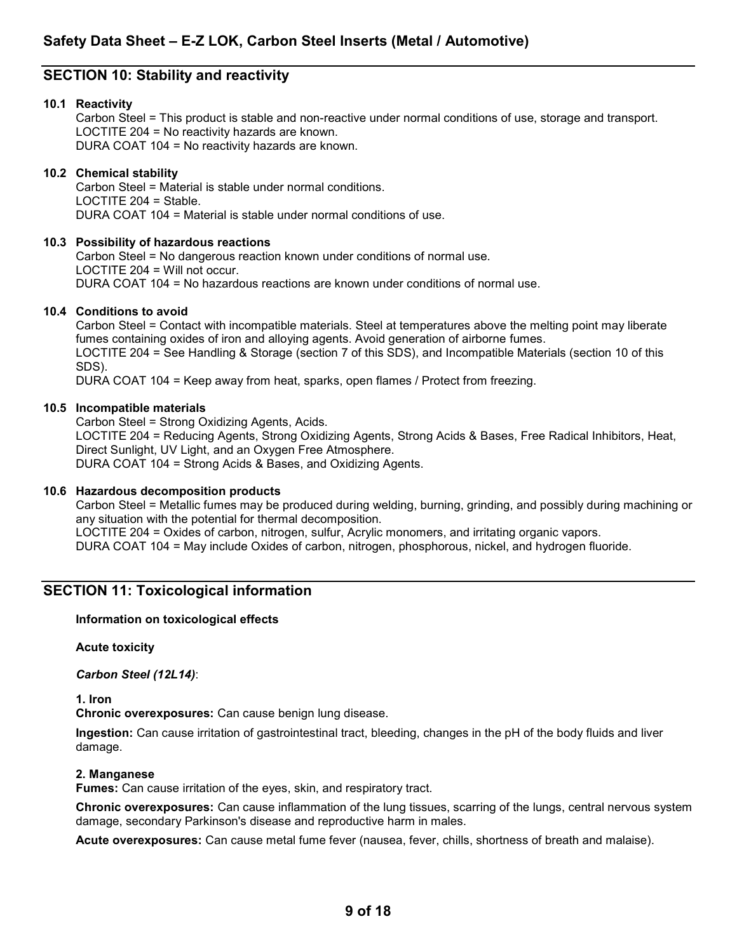# SECTION 10: Stability and reactivity

#### 10.1 Reactivity

Carbon Steel = This product is stable and non-reactive under normal conditions of use, storage and transport. LOCTITE 204 = No reactivity hazards are known. DURA COAT 104 = No reactivity hazards are known.

#### 10.2 Chemical stability

Carbon Steel = Material is stable under normal conditions. LOCTITE 204 = Stable. DURA COAT 104 = Material is stable under normal conditions of use.

#### 10.3 Possibility of hazardous reactions

Carbon Steel = No dangerous reaction known under conditions of normal use. LOCTITE 204 = Will not occur. DURA COAT 104 = No hazardous reactions are known under conditions of normal use.

#### 10.4 Conditions to avoid

Carbon Steel = Contact with incompatible materials. Steel at temperatures above the melting point may liberate fumes containing oxides of iron and alloying agents. Avoid generation of airborne fumes. LOCTITE 204 = See Handling & Storage (section 7 of this SDS), and Incompatible Materials (section 10 of this SDS).

DURA COAT 104 = Keep away from heat, sparks, open flames / Protect from freezing.

#### 10.5 Incompatible materials

Carbon Steel = Strong Oxidizing Agents, Acids.

LOCTITE 204 = Reducing Agents, Strong Oxidizing Agents, Strong Acids & Bases, Free Radical Inhibitors, Heat, Direct Sunlight, UV Light, and an Oxygen Free Atmosphere. DURA COAT 104 = Strong Acids & Bases, and Oxidizing Agents.

#### 10.6 Hazardous decomposition products

Carbon Steel = Metallic fumes may be produced during welding, burning, grinding, and possibly during machining or any situation with the potential for thermal decomposition.

LOCTITE 204 = Oxides of carbon, nitrogen, sulfur, Acrylic monomers, and irritating organic vapors.

DURA COAT 104 = May include Oxides of carbon, nitrogen, phosphorous, nickel, and hydrogen fluoride.

### SECTION 11: Toxicological information

#### Information on toxicological effects

Acute toxicity

Carbon Steel (12L14):

1. Iron

Chronic overexposures: Can cause benign lung disease.

 Ingestion: Can cause irritation of gastrointestinal tract, bleeding, changes in the pH of the body fluids and liver damage.

#### 2. Manganese

Fumes: Can cause irritation of the eyes, skin, and respiratory tract.

Chronic overexposures: Can cause inflammation of the lung tissues, scarring of the lungs, central nervous system damage, secondary Parkinson's disease and reproductive harm in males.

Acute overexposures: Can cause metal fume fever (nausea, fever, chills, shortness of breath and malaise).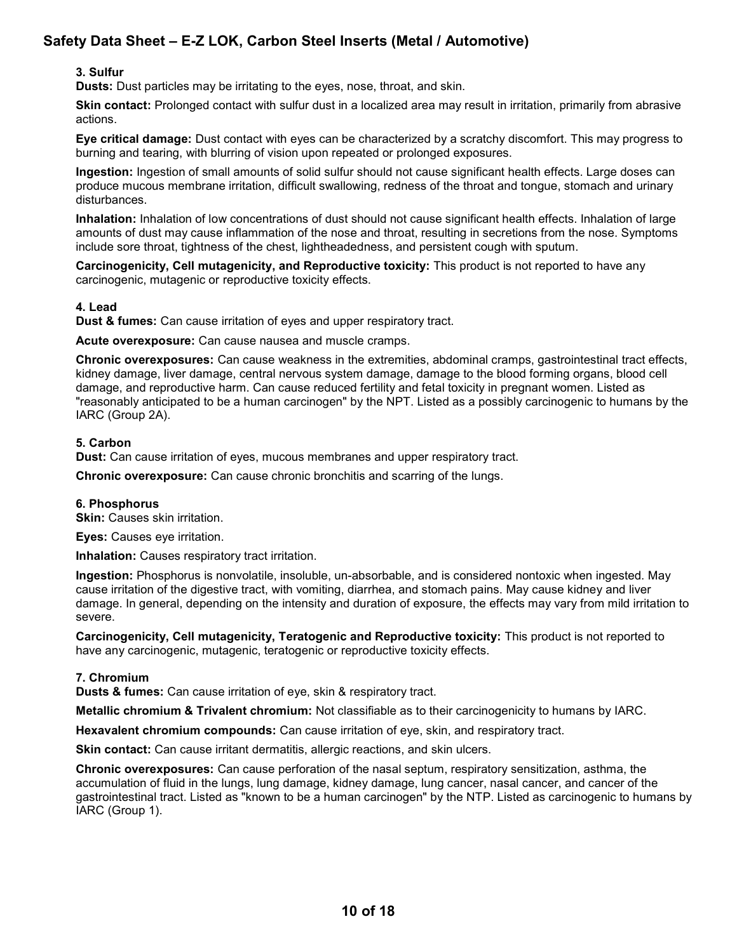#### 3. Sulfur

Dusts: Dust particles may be irritating to the eyes, nose, throat, and skin.

Skin contact: Prolonged contact with sulfur dust in a localized area may result in irritation, primarily from abrasive actions.

 Eye critical damage: Dust contact with eyes can be characterized by a scratchy discomfort. This may progress to burning and tearing, with blurring of vision upon repeated or prolonged exposures.

Ingestion: Ingestion of small amounts of solid sulfur should not cause significant health effects. Large doses can produce mucous membrane irritation, difficult swallowing, redness of the throat and tongue, stomach and urinary disturbances.

 Inhalation: Inhalation of low concentrations of dust should not cause significant health effects. Inhalation of large amounts of dust may cause inflammation of the nose and throat, resulting in secretions from the nose. Symptoms include sore throat, tightness of the chest, lightheadedness, and persistent cough with sputum.

Carcinogenicity, Cell mutagenicity, and Reproductive toxicity: This product is not reported to have any carcinogenic, mutagenic or reproductive toxicity effects.

#### 4. Lead

**Dust & fumes:** Can cause irritation of eyes and upper respiratory tract.

Acute overexposure: Can cause nausea and muscle cramps.

Chronic overexposures: Can cause weakness in the extremities, abdominal cramps, gastrointestinal tract effects, kidney damage, liver damage, central nervous system damage, damage to the blood forming organs, blood cell damage, and reproductive harm. Can cause reduced fertility and fetal toxicity in pregnant women. Listed as "reasonably anticipated to be a human carcinogen" by the NPT. Listed as a possibly carcinogenic to humans by the IARC (Group 2A).

#### 5. Carbon

Dust: Can cause irritation of eyes, mucous membranes and upper respiratory tract.

Chronic overexposure: Can cause chronic bronchitis and scarring of the lungs.

#### 6. Phosphorus

**Skin: Causes skin irritation.** 

Eyes: Causes eye irritation.

Inhalation: Causes respiratory tract irritation.

 Ingestion: Phosphorus is nonvolatile, insoluble, un-absorbable, and is considered nontoxic when ingested. May cause irritation of the digestive tract, with vomiting, diarrhea, and stomach pains. May cause kidney and liver damage. In general, depending on the intensity and duration of exposure, the effects may vary from mild irritation to severe.

 Carcinogenicity, Cell mutagenicity, Teratogenic and Reproductive toxicity: This product is not reported to have any carcinogenic, mutagenic, teratogenic or reproductive toxicity effects.

#### 7. Chromium

**Dusts & fumes:** Can cause irritation of eye, skin & respiratory tract.

Metallic chromium & Trivalent chromium: Not classifiable as to their carcinogenicity to humans by IARC.

**Hexavalent chromium compounds:** Can cause irritation of eye, skin, and respiratory tract.

Skin contact: Can cause irritant dermatitis, allergic reactions, and skin ulcers.

 Chronic overexposures: Can cause perforation of the nasal septum, respiratory sensitization, asthma, the accumulation of fluid in the lungs, lung damage, kidney damage, lung cancer, nasal cancer, and cancer of the gastrointestinal tract. Listed as "known to be a human carcinogen" by the NTP. Listed as carcinogenic to humans by IARC (Group 1).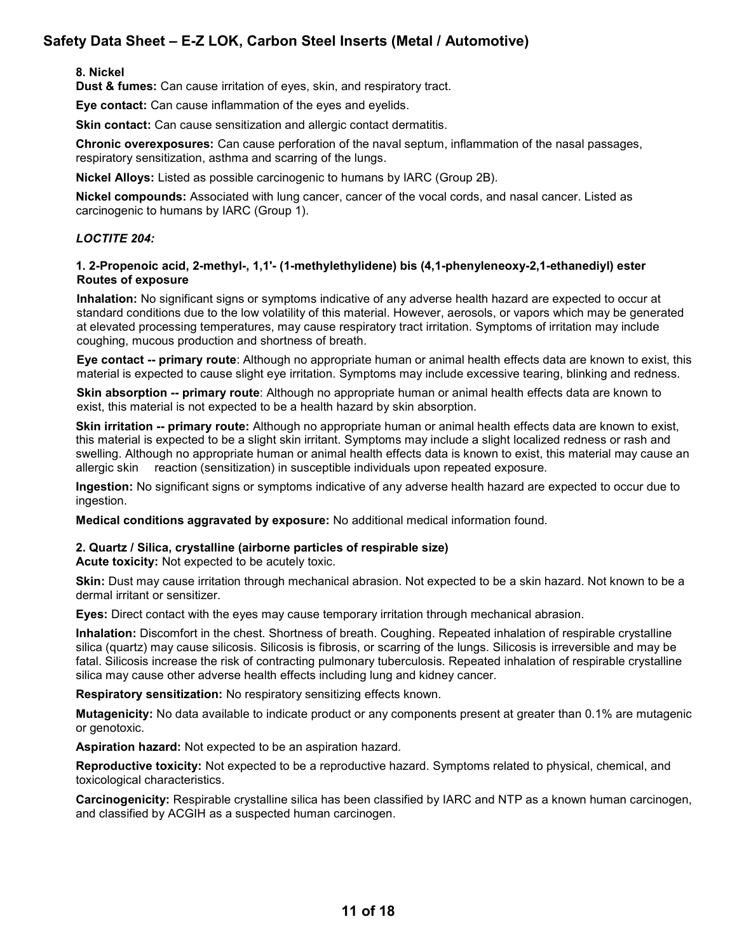#### 8. Nickel

Dust & fumes: Can cause irritation of eyes, skin, and respiratory tract.

Eye contact: Can cause inflammation of the eyes and eyelids.

Skin contact: Can cause sensitization and allergic contact dermatitis.

 Chronic overexposures: Can cause perforation of the naval septum, inflammation of the nasal passages, respiratory sensitization, asthma and scarring of the lungs.

Nickel Alloys: Listed as possible carcinogenic to humans by IARC (Group 2B).

Nickel compounds: Associated with lung cancer, cancer of the vocal cords, and nasal cancer. Listed as carcinogenic to humans by IARC (Group 1).

#### LOCTITE 204:

#### 1. 2-Propenoic acid, 2-methyl-, 1,1'- (1-methylethylidene) bis (4,1-phenyleneoxy-2,1-ethanediyl) ester Routes of exposure

Inhalation: No significant signs or symptoms indicative of any adverse health hazard are expected to occur at standard conditions due to the low volatility of this material. However, aerosols, or vapors which may be generated at elevated processing temperatures, may cause respiratory tract irritation. Symptoms of irritation may include coughing, mucous production and shortness of breath.

Eye contact -- primary route: Although no appropriate human or animal health effects data are known to exist, this material is expected to cause slight eye irritation. Symptoms may include excessive tearing, blinking and redness.

**Skin absorption -- primary route**: Although no appropriate human or animal health effects data are known to exist, this material is not expected to be a health hazard by skin absorption.

Skin irritation -- primary route: Although no appropriate human or animal health effects data are known to exist, this material is expected to be a slight skin irritant. Symptoms may include a slight localized redness or rash and swelling. Although no appropriate human or animal health effects data is known to exist, this material may cause an allergic skin reaction (sensitization) in susceptible individuals upon repeated exposure.

Ingestion: No significant signs or symptoms indicative of any adverse health hazard are expected to occur due to ingestion.

Medical conditions aggravated by exposure: No additional medical information found.

#### 2. Quartz / Silica, crystalline (airborne particles of respirable size)

Acute toxicity: Not expected to be acutely toxic.

Skin: Dust may cause irritation through mechanical abrasion. Not expected to be a skin hazard. Not known to be a dermal irritant or sensitizer.

Eyes: Direct contact with the eyes may cause temporary irritation through mechanical abrasion.

Inhalation: Discomfort in the chest. Shortness of breath. Coughing. Repeated inhalation of respirable crystalline silica (quartz) may cause silicosis. Silicosis is fibrosis, or scarring of the lungs. Silicosis is irreversible and may be fatal. Silicosis increase the risk of contracting pulmonary tuberculosis. Repeated inhalation of respirable crystalline silica may cause other adverse health effects including lung and kidney cancer.

Respiratory sensitization: No respiratory sensitizing effects known.

Mutagenicity: No data available to indicate product or any components present at greater than 0.1% are mutagenic or genotoxic.

Aspiration hazard: Not expected to be an aspiration hazard.

Reproductive toxicity: Not expected to be a reproductive hazard. Symptoms related to physical, chemical, and toxicological characteristics.

Carcinogenicity: Respirable crystalline silica has been classified by IARC and NTP as a known human carcinogen, and classified by ACGIH as a suspected human carcinogen.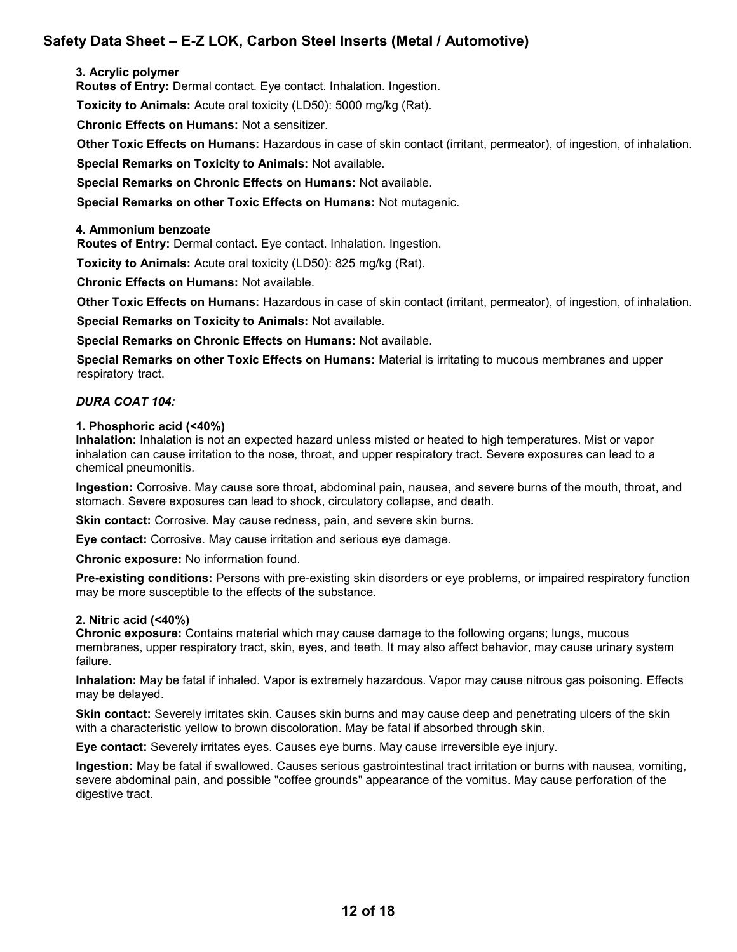#### 3. Acrylic polymer

Routes of Entry: Dermal contact. Eye contact. Inhalation. Ingestion.

Toxicity to Animals: Acute oral toxicity (LD50): 5000 mg/kg (Rat).

Chronic Effects on Humans: Not a sensitizer.

Other Toxic Effects on Humans: Hazardous in case of skin contact (irritant, permeator), of ingestion, of inhalation.

Special Remarks on Toxicity to Animals: Not available.

Special Remarks on Chronic Effects on Humans: Not available.

Special Remarks on other Toxic Effects on Humans: Not mutagenic.

#### 4. Ammonium benzoate

Routes of Entry: Dermal contact. Eye contact. Inhalation. Ingestion.

Toxicity to Animals: Acute oral toxicity (LD50): 825 mg/kg (Rat).

Chronic Effects on Humans: Not available.

Other Toxic Effects on Humans: Hazardous in case of skin contact (irritant, permeator), of ingestion, of inhalation.

Special Remarks on Toxicity to Animals: Not available.

Special Remarks on Chronic Effects on Humans: Not available.

Special Remarks on other Toxic Effects on Humans: Material is irritating to mucous membranes and upper respiratory tract.

#### DURA COAT 104:

#### 1. Phosphoric acid (<40%)

Inhalation: Inhalation is not an expected hazard unless misted or heated to high temperatures. Mist or vapor inhalation can cause irritation to the nose, throat, and upper respiratory tract. Severe exposures can lead to a chemical pneumonitis.

Ingestion: Corrosive. May cause sore throat, abdominal pain, nausea, and severe burns of the mouth, throat, and stomach. Severe exposures can lead to shock, circulatory collapse, and death.

Skin contact: Corrosive. May cause redness, pain, and severe skin burns.

Eye contact: Corrosive. May cause irritation and serious eye damage.

Chronic exposure: No information found.

Pre-existing conditions: Persons with pre-existing skin disorders or eye problems, or impaired respiratory function may be more susceptible to the effects of the substance.

#### 2. Nitric acid (<40%)

Chronic exposure: Contains material which may cause damage to the following organs; lungs, mucous membranes, upper respiratory tract, skin, eyes, and teeth. It may also affect behavior, may cause urinary system failure.

Inhalation: May be fatal if inhaled. Vapor is extremely hazardous. Vapor may cause nitrous gas poisoning. Effects may be delayed.

Skin contact: Severely irritates skin. Causes skin burns and may cause deep and penetrating ulcers of the skin with a characteristic yellow to brown discoloration. May be fatal if absorbed through skin.

Eye contact: Severely irritates eyes. Causes eye burns. May cause irreversible eye injury.

Ingestion: May be fatal if swallowed. Causes serious gastrointestinal tract irritation or burns with nausea, vomiting, severe abdominal pain, and possible "coffee grounds" appearance of the vomitus. May cause perforation of the digestive tract.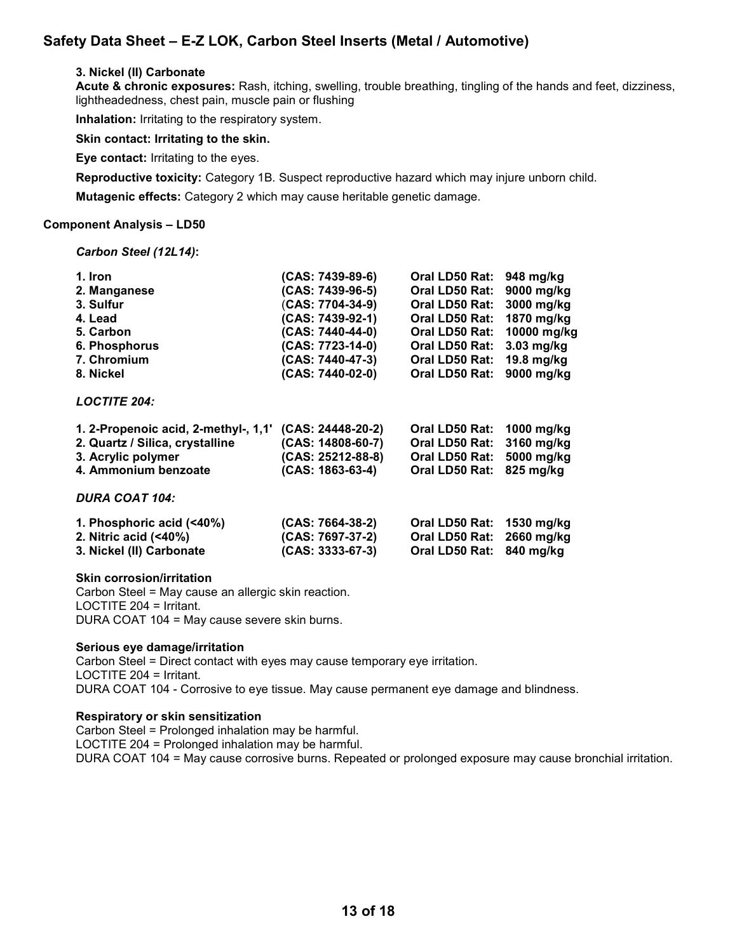#### 3. Nickel (II) Carbonate

Acute & chronic exposures: Rash, itching, swelling, trouble breathing, tingling of the hands and feet, dizziness, lightheadedness, chest pain, muscle pain or flushing

Inhalation: Irritating to the respiratory system.

Skin contact: Irritating to the skin.

Eye contact: Irritating to the eyes.

Reproductive toxicity: Category 1B. Suspect reproductive hazard which may injure unborn child.

Mutagenic effects: Category 2 which may cause heritable genetic damage.

#### Component Analysis – LD50

Carbon Steel (12L14):

| 1. Iron                              | (CAS: 7439-89-6)    | Oral LD50 Rat: | 948 mg/kg   |
|--------------------------------------|---------------------|----------------|-------------|
| 2. Manganese                         | (CAS: 7439-96-5)    | Oral LD50 Rat: | 9000 mg/kg  |
| 3. Sulfur                            | (CAS: 7704-34-9)    | Oral LD50 Rat: | 3000 mg/kg  |
| 4. Lead                              | (CAS: 7439-92-1)    | Oral LD50 Rat: | 1870 mg/kg  |
| 5. Carbon                            | (CAS: 7440-44-0)    | Oral LD50 Rat: | 10000 mg/kg |
| 6. Phosphorus                        | (CAS: 7723-14-0)    | Oral LD50 Rat: | 3.03 mg/kg  |
| 7. Chromium                          | (CAS: 7440-47-3)    | Oral LD50 Rat: | 19.8 mg/kg  |
| 8. Nickel                            | (CAS: 7440-02-0)    | Oral LD50 Rat: | 9000 mg/kg  |
| <b>LOCTITE 204:</b>                  |                     |                |             |
| 1. 2-Propenoic acid, 2-methyl-, 1,1' | (CAS: 24448-20-2)   | Oral LD50 Rat: | 1000 mg/kg  |
| 2. Quartz / Silica, crystalline      | (CAS: 14808-60-7)   | Oral LD50 Rat: | 3160 mg/kg  |
| 3. Acrylic polymer                   | $(CAS: 25212-88-8)$ | Oral LD50 Rat: | 5000 mg/kg  |
| 4. Ammonium benzoate                 | $(CAS: 1863-63-4)$  | Oral LD50 Rat: | $825$ mg/kg |
| <b>DURA COAT 104:</b>                |                     |                |             |
| 1. Phosphoric acid $($ <40%)         | $(CAS: 7664-38-2)$  | Oral LD50 Rat: | 1530 mg/kg  |
| 2. Nitric acid (<40%)                | (CAS: 7697-37-2)    | Oral LD50 Rat: | 2660 mg/kg  |
| 3. Nickel (II) Carbonate             | $(CAS: 3333-67-3)$  | Oral LD50 Rat: | 840 mg/kg   |
|                                      |                     |                |             |

#### Skin corrosion/irritation

Carbon Steel = May cause an allergic skin reaction. LOCTITE 204 = Irritant. DURA COAT 104 = May cause severe skin burns.

#### Serious eye damage/irritation

Carbon Steel = Direct contact with eyes may cause temporary eye irritation. LOCTITE 204 = Irritant. DURA COAT 104 - Corrosive to eye tissue. May cause permanent eye damage and blindness.

#### Respiratory or skin sensitization

Carbon Steel = Prolonged inhalation may be harmful. LOCTITE 204 = Prolonged inhalation may be harmful. DURA COAT 104 = May cause corrosive burns. Repeated or prolonged exposure may cause bronchial irritation.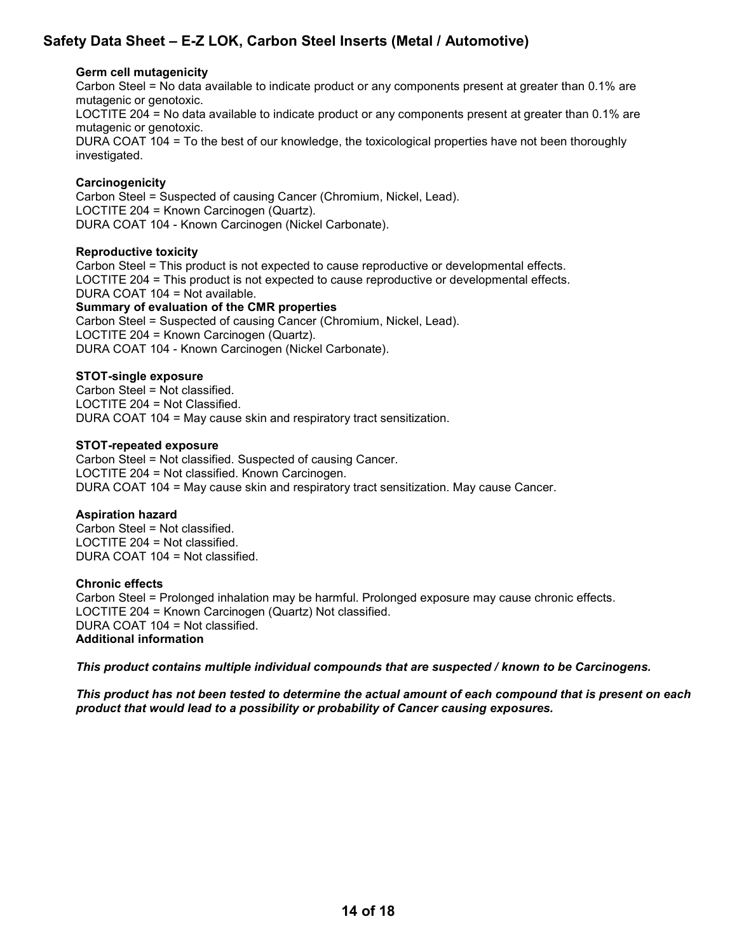#### Germ cell mutagenicity

Carbon Steel = No data available to indicate product or any components present at greater than 0.1% are mutagenic or genotoxic.

LOCTITE 204 = No data available to indicate product or any components present at greater than 0.1% are mutagenic or genotoxic.

DURA COAT 104 = To the best of our knowledge, the toxicological properties have not been thoroughly investigated.

#### **Carcinogenicity**

Carbon Steel = Suspected of causing Cancer (Chromium, Nickel, Lead). LOCTITE 204 = Known Carcinogen (Quartz). DURA COAT 104 - Known Carcinogen (Nickel Carbonate).

#### Reproductive toxicity

Carbon Steel = This product is not expected to cause reproductive or developmental effects. LOCTITE 204 = This product is not expected to cause reproductive or developmental effects. DURA COAT 104 = Not available.

#### Summary of evaluation of the CMR properties

Carbon Steel = Suspected of causing Cancer (Chromium, Nickel, Lead). LOCTITE 204 = Known Carcinogen (Quartz). DURA COAT 104 - Known Carcinogen (Nickel Carbonate).

#### STOT-single exposure

Carbon Steel = Not classified. LOCTITE 204 = Not Classified. DURA COAT 104 = May cause skin and respiratory tract sensitization.

#### STOT-repeated exposure

Carbon Steel = Not classified. Suspected of causing Cancer. LOCTITE 204 = Not classified. Known Carcinogen. DURA COAT 104 = May cause skin and respiratory tract sensitization. May cause Cancer.

#### Aspiration hazard

Carbon Steel = Not classified. LOCTITE 204 = Not classified. DURA COAT 104 = Not classified.

#### Chronic effects

Carbon Steel = Prolonged inhalation may be harmful. Prolonged exposure may cause chronic effects. LOCTITE 204 = Known Carcinogen (Quartz) Not classified. DURA COAT 104 = Not classified. Additional information

This product contains multiple individual compounds that are suspected / known to be Carcinogens.

This product has not been tested to determine the actual amount of each compound that is present on each product that would lead to a possibility or probability of Cancer causing exposures.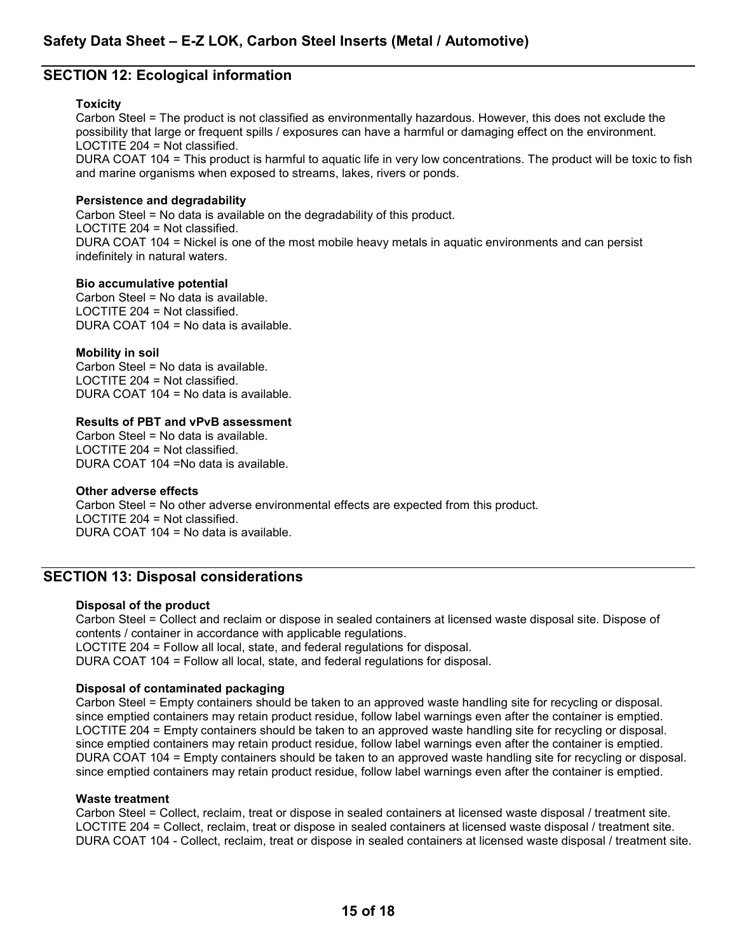# SECTION 12: Ecological information

#### **Toxicity**

Carbon Steel = The product is not classified as environmentally hazardous. However, this does not exclude the possibility that large or frequent spills / exposures can have a harmful or damaging effect on the environment. LOCTITE 204 = Not classified.

DURA COAT 104 = This product is harmful to aquatic life in very low concentrations. The product will be toxic to fish and marine organisms when exposed to streams, lakes, rivers or ponds.

#### Persistence and degradability

Carbon Steel = No data is available on the degradability of this product. LOCTITE 204 = Not classified. DURA COAT 104 = Nickel is one of the most mobile heavy metals in aquatic environments and can persist indefinitely in natural waters.

#### Bio accumulative potential

Carbon Steel = No data is available. LOCTITE 204 = Not classified. DURA COAT 104 = No data is available.

#### Mobility in soil

Carbon Steel = No data is available. LOCTITE 204 = Not classified. DURA COAT 104 = No data is available.

#### Results of PBT and vPvB assessment

Carbon Steel = No data is available. LOCTITE 204 = Not classified. DURA COAT 104 =No data is available.

#### Other adverse effects

Carbon Steel = No other adverse environmental effects are expected from this product. LOCTITE 204 = Not classified. DURA COAT 104 = No data is available.

# SECTION 13: Disposal considerations

#### Disposal of the product

Carbon Steel = Collect and reclaim or dispose in sealed containers at licensed waste disposal site. Dispose of contents / container in accordance with applicable regulations. LOCTITE 204 = Follow all local, state, and federal regulations for disposal.

DURA COAT 104 = Follow all local, state, and federal regulations for disposal.

#### Disposal of contaminated packaging

Carbon Steel = Empty containers should be taken to an approved waste handling site for recycling or disposal. since emptied containers may retain product residue, follow label warnings even after the container is emptied. LOCTITE 204 = Empty containers should be taken to an approved waste handling site for recycling or disposal. since emptied containers may retain product residue, follow label warnings even after the container is emptied. DURA COAT 104 = Empty containers should be taken to an approved waste handling site for recycling or disposal. since emptied containers may retain product residue, follow label warnings even after the container is emptied.

#### Waste treatment

Carbon Steel = Collect, reclaim, treat or dispose in sealed containers at licensed waste disposal / treatment site. LOCTITE 204 = Collect, reclaim, treat or dispose in sealed containers at licensed waste disposal / treatment site. DURA COAT 104 - Collect, reclaim, treat or dispose in sealed containers at licensed waste disposal / treatment site.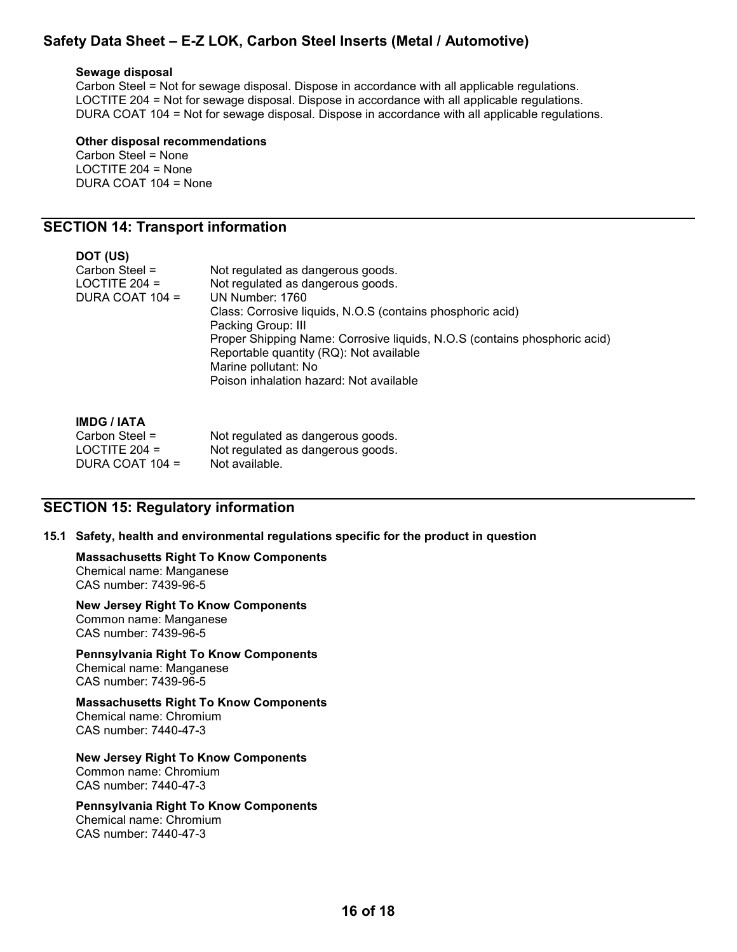#### Sewage disposal

Carbon Steel = Not for sewage disposal. Dispose in accordance with all applicable regulations. LOCTITE 204 = Not for sewage disposal. Dispose in accordance with all applicable regulations. DURA COAT 104 = Not for sewage disposal. Dispose in accordance with all applicable regulations.

#### Other disposal recommendations Carbon Steel = None LOCTITE 204 = None

DURA COAT 104 = None

# SECTION 14: Transport information

| DOT (US)          |                                                                           |
|-------------------|---------------------------------------------------------------------------|
| Carbon Steel $=$  | Not regulated as dangerous goods.                                         |
| LOCTITE $204 =$   | Not regulated as dangerous goods.                                         |
| DURA COAT $104 =$ | UN Number: 1760                                                           |
|                   | Class: Corrosive liquids, N.O.S (contains phosphoric acid)                |
|                   | Packing Group: III                                                        |
|                   | Proper Shipping Name: Corrosive liquids, N.O.S (contains phosphoric acid) |
|                   | Reportable quantity (RQ): Not available                                   |
|                   | Marine pollutant: No                                                      |
|                   | Poison inhalation hazard: Not available                                   |
|                   |                                                                           |

| <b>IMDG / IATA</b> |  |
|--------------------|--|
|--------------------|--|

| Not regulated as dangerous goods. |
|-----------------------------------|
| Not regulated as dangerous goods. |
| Not available.                    |
|                                   |

### SECTION 15: Regulatory information

#### 15.1 Safety, health and environmental regulations specific for the product in question

# Massachusetts Right To Know Components

Chemical name: Manganese CAS number: 7439-96-5

#### New Jersey Right To Know Components Common name: Manganese CAS number: 7439-96-5

Pennsylvania Right To Know Components

Chemical name: Manganese CAS number: 7439-96-5

#### Massachusetts Right To Know Components Chemical name: Chromium

CAS number: 7440-47-3

### New Jersey Right To Know Components

Common name: Chromium CAS number: 7440-47-3

# Pennsylvania Right To Know Components

Chemical name: Chromium CAS number: 7440-47-3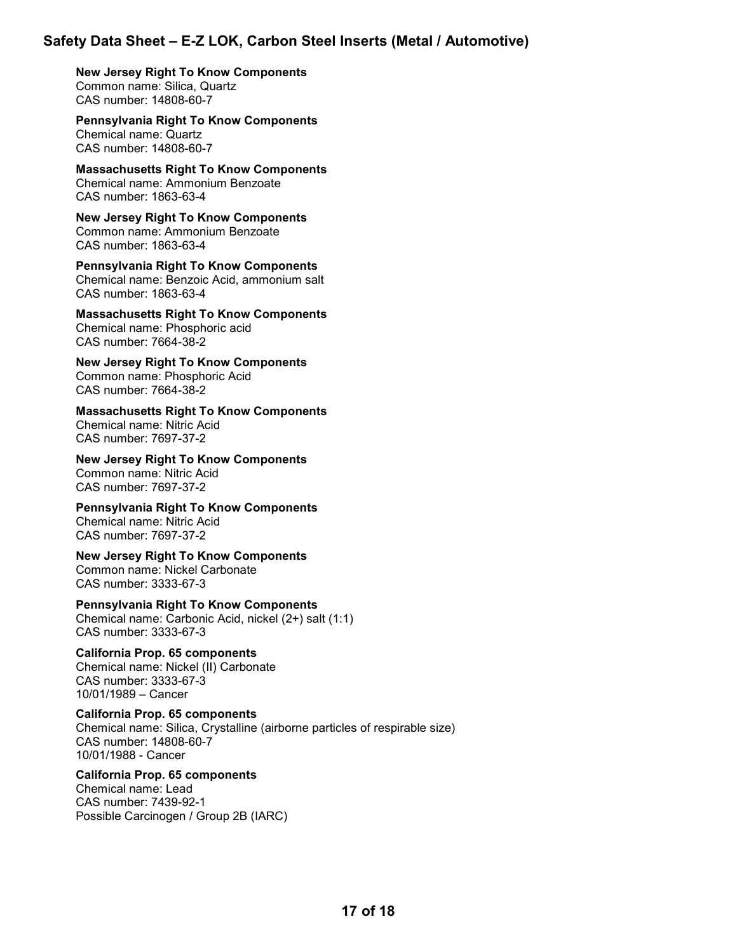New Jersey Right To Know Components Common name: Silica, Quartz CAS number: 14808-60-7

 Pennsylvania Right To Know Components Chemical name: Quartz CAS number: 14808-60-7

 Massachusetts Right To Know Components Chemical name: Ammonium Benzoate CAS number: 1863-63-4

 New Jersey Right To Know Components Common name: Ammonium Benzoate CAS number: 1863-63-4

 Pennsylvania Right To Know Components Chemical name: Benzoic Acid, ammonium salt CAS number: 1863-63-4

 Massachusetts Right To Know Components Chemical name: Phosphoric acid CAS number: 7664-38-2

 New Jersey Right To Know Components Common name: Phosphoric Acid CAS number: 7664-38-2

 Massachusetts Right To Know Components Chemical name: Nitric Acid CAS number: 7697-37-2

 New Jersey Right To Know Components Common name: Nitric Acid CAS number: 7697-37-2

 Pennsylvania Right To Know Components Chemical name: Nitric Acid CAS number: 7697-37-2

 New Jersey Right To Know Components Common name: Nickel Carbonate CAS number: 3333-67-3

 Pennsylvania Right To Know Components Chemical name: Carbonic Acid, nickel (2+) salt (1:1) CAS number: 3333-67-3

 California Prop. 65 components Chemical name: Nickel (II) Carbonate CAS number: 3333-67-3 10/01/1989 – Cancer

 California Prop. 65 components Chemical name: Silica, Crystalline (airborne particles of respirable size) CAS number: 14808-60-7 10/01/1988 - Cancer

California Prop. 65 components Chemical name: Lead CAS number: 7439-92-1 Possible Carcinogen / Group 2B (IARC)